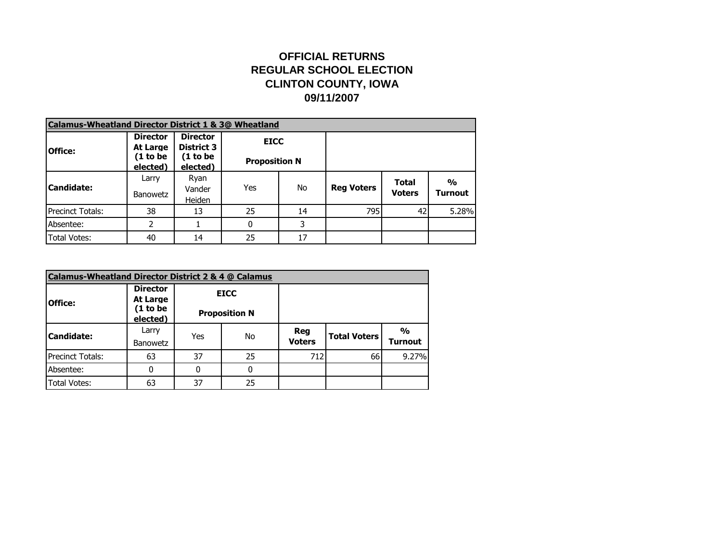## **OFFICIAL RETURNS REGULAR SCHOOL ELECTION CLINTON COUNTY, IOWA 09/11/2007**

| <b>Calamus-Wheatland Director District 1 &amp; 3@ Wheatland</b> |                             |                                      |                      |    |                   |                               |                                 |
|-----------------------------------------------------------------|-----------------------------|--------------------------------------|----------------------|----|-------------------|-------------------------------|---------------------------------|
| <b>Office:</b>                                                  | <b>Director</b><br>At Large | <b>Director</b><br><b>District 3</b> | <b>EICC</b>          |    |                   |                               |                                 |
|                                                                 | (1 to be<br>elected)        | (1 to be<br>elected)                 | <b>Proposition N</b> |    |                   |                               |                                 |
| <b>Candidate:</b>                                               | Larry<br><b>Banowetz</b>    | Ryan<br>Vander<br>Heiden             | Yes                  | No | <b>Reg Voters</b> | <b>Total</b><br><b>Voters</b> | $\frac{0}{0}$<br><b>Turnout</b> |
| <b>Precinct Totals:</b>                                         | 38                          | 13                                   | 25                   | 14 | 795               | 42                            | 5.28%                           |
| Absentee:                                                       | 2                           |                                      |                      | 3  |                   |                               |                                 |
| <b>Total Votes:</b>                                             | 40                          | 14                                   | 25                   | 17 |                   |                               |                                 |

| Calamus-Wheatland Director District 2 & 4 @ Calamus |                                  |     |                      |               |                     |                |
|-----------------------------------------------------|----------------------------------|-----|----------------------|---------------|---------------------|----------------|
|                                                     | <b>Director</b>                  |     | <b>EICC</b>          |               |                     |                |
| <b>Office:</b>                                      | At Large<br>(1 to be<br>elected) |     | <b>Proposition N</b> |               |                     |                |
| <b>Candidate:</b>                                   | Larry                            | Yes | No                   | Reg           | <b>Total Voters</b> | $\frac{0}{0}$  |
|                                                     | <b>Banowetz</b>                  |     |                      | <b>Voters</b> |                     | <b>Turnout</b> |
| Precinct Totals:                                    | 63                               | 37  | 25                   | 712           | 66                  | 9.27%          |
| Absentee:                                           |                                  |     | $\Omega$             |               |                     |                |
| <b>Total Votes:</b>                                 | 63                               | 37  | 25                   |               |                     |                |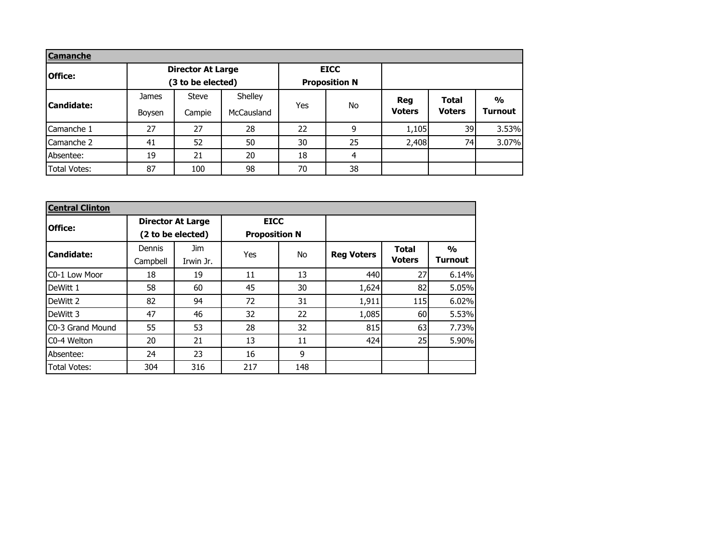| <b>Camanche</b>     |                        |                                               |                       |     |                                     |                      |                               |                                 |
|---------------------|------------------------|-----------------------------------------------|-----------------------|-----|-------------------------------------|----------------------|-------------------------------|---------------------------------|
| <b>Office:</b>      |                        | <b>Director At Large</b><br>(3 to be elected) |                       |     | <b>EICC</b><br><b>Proposition N</b> |                      |                               |                                 |
| <b>Candidate:</b>   | <b>James</b><br>Boysen | <b>Steve</b><br>Campie                        | Shelley<br>McCausland | Yes | No                                  | Reg<br><b>Voters</b> | <b>Total</b><br><b>Voters</b> | $\frac{0}{0}$<br><b>Turnout</b> |
| Camanche 1          | 27                     | 27                                            | 28                    | 22  | 9                                   | 1,105                | 39                            | 3.53%                           |
| Camanche 2          | 41                     | 52                                            | 50                    | 30  | 25                                  | 2,408                | 74                            | 3.07%                           |
| Absentee:           | 19                     | 21                                            | 20                    | 18  | 4                                   |                      |                               |                                 |
| <b>Total Votes:</b> | 87                     | 100                                           | 98                    | 70  | 38                                  |                      |                               |                                 |

| <b>Central Clinton</b> |                                         |                   |     |                      |                   |               |                |
|------------------------|-----------------------------------------|-------------------|-----|----------------------|-------------------|---------------|----------------|
| Office:                | <b>Director At Large</b><br><b>EICC</b> |                   |     |                      |                   |               |                |
|                        |                                         | (2 to be elected) |     | <b>Proposition N</b> |                   |               |                |
| <b>Candidate:</b>      | Dennis                                  | Jim.              | Yes | No                   |                   | <b>Total</b>  | $\frac{0}{0}$  |
|                        | Campbell                                | Irwin Jr.         |     |                      | <b>Reg Voters</b> | <b>Voters</b> | <b>Turnout</b> |
| C0-1 Low Moor          | 18                                      | 19                | 11  | 13                   | 440               | 27            | 6.14%          |
| DeWitt 1               | 58                                      | 60                | 45  | 30                   | 1,624             | 82            | 5.05%          |
| DeWitt 2               | 82                                      | 94                | 72  | 31                   | 1,911             | <b>115</b>    | 6.02%          |
| DeWitt 3               | 47                                      | 46                | 32  | 22                   | 1,085             | 60            | 5.53%          |
| IC0-3 Grand Mound      | 55                                      | 53                | 28  | 32                   | 815               | 63            | 7.73%          |
| C0-4 Welton            | 20                                      | 21                | 13  | 11                   | 424               | 25            | 5.90%          |
| Absentee:              | 24                                      | 23                | 16  | 9                    |                   |               |                |
| <b>Total Votes:</b>    | 304                                     | 316               | 217 | 148                  |                   |               |                |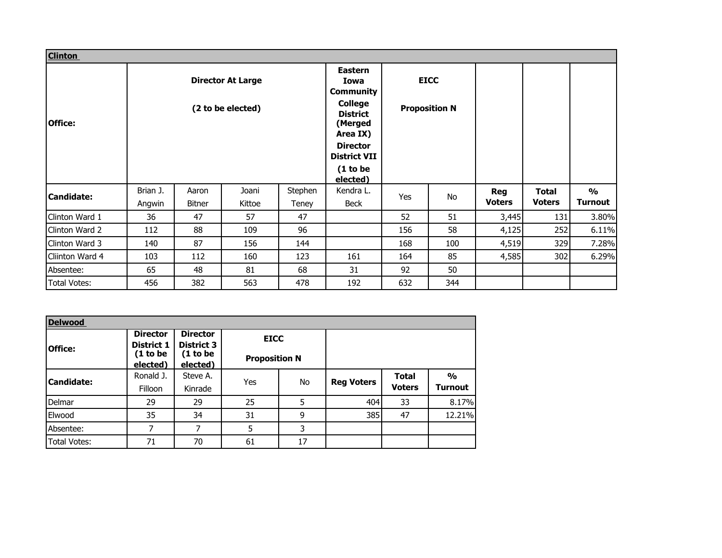| <b>Clinton</b>                                                  |          |               |                                                                                  |                                        |                      |     |     |               |               |                |
|-----------------------------------------------------------------|----------|---------------|----------------------------------------------------------------------------------|----------------------------------------|----------------------|-----|-----|---------------|---------------|----------------|
| <b>Director At Large</b><br>(2 to be elected)<br><b>Office:</b> |          |               | <b>Eastern</b><br>Iowa<br><b>Community</b>                                       | <b>EICC</b>                            |                      |     |     |               |               |                |
|                                                                 |          |               | <b>College</b><br><b>Proposition N</b><br><b>District</b><br>(Merged<br>Area IX) |                                        |                      |     |     |               |               |                |
|                                                                 |          |               |                                                                                  | <b>Director</b><br><b>District VII</b> |                      |     |     |               |               |                |
|                                                                 |          |               |                                                                                  |                                        | (1 to be<br>elected) |     |     |               |               |                |
| <b>Candidate:</b>                                               | Brian J. | Aaron         | Joani                                                                            | Stephen                                | Kendra L.            | Yes | No  | <b>Reg</b>    | Total         | $\frac{0}{0}$  |
|                                                                 | Angwin   | <b>Bitner</b> | Kittoe                                                                           | Teney                                  | <b>Beck</b>          |     |     | <b>Voters</b> | <b>Voters</b> | <b>Turnout</b> |
| Clinton Ward 1                                                  | 36       | 47            | 57                                                                               | 47                                     |                      | 52  | 51  | 3,445         | 131           | 3.80%          |
| Clinton Ward 2                                                  | 112      | 88            | 109                                                                              | 96                                     |                      | 156 | 58  | 4,125         | 252           | 6.11%          |
| Clinton Ward 3                                                  | 140      | 87            | 156                                                                              | 144                                    |                      | 168 | 100 | 4,519         | 329           | 7.28%          |
| Cliinton Ward 4                                                 | 103      | 112           | 160                                                                              | 123                                    | 161                  | 164 | 85  | 4,585         | 302           | 6.29%          |
| Absentee:                                                       | 65       | 48            | 81                                                                               | 68                                     | 31                   | 92  | 50  |               |               |                |
| <b>Total Votes:</b>                                             | 456      | 382           | 563                                                                              | 478                                    | 192                  | 632 | 344 |               |               |                |

| <b>Delwood</b>      |                               |                                      |                      |    |                   |               |                |
|---------------------|-------------------------------|--------------------------------------|----------------------|----|-------------------|---------------|----------------|
| <b>Office:</b>      | <b>Director</b><br>District 1 | <b>Director</b><br><b>District 3</b> | <b>EICC</b>          |    |                   |               |                |
|                     | (1 to be<br>elected)          | (1 to be<br>elected)                 | <b>Proposition N</b> |    |                   |               |                |
| <b>Candidate:</b>   | Ronald J.                     | Steve A.                             |                      | No | <b>Reg Voters</b> | <b>Total</b>  | $\frac{0}{0}$  |
|                     | Filloon                       | Kinrade                              | Yes                  |    |                   | <b>Voters</b> | <b>Turnout</b> |
| Delmar              | 29                            | 29                                   | 25                   | 5  | 404               | 33            | 8.17%          |
| Elwood              | 35                            | 34                                   | 31                   | 9  | 385               | 47            | 12.21%         |
| Absentee:           | 7                             | 7                                    | 5                    | 3  |                   |               |                |
| <b>Total Votes:</b> | 71                            | 70                                   | 61                   | 17 |                   |               |                |